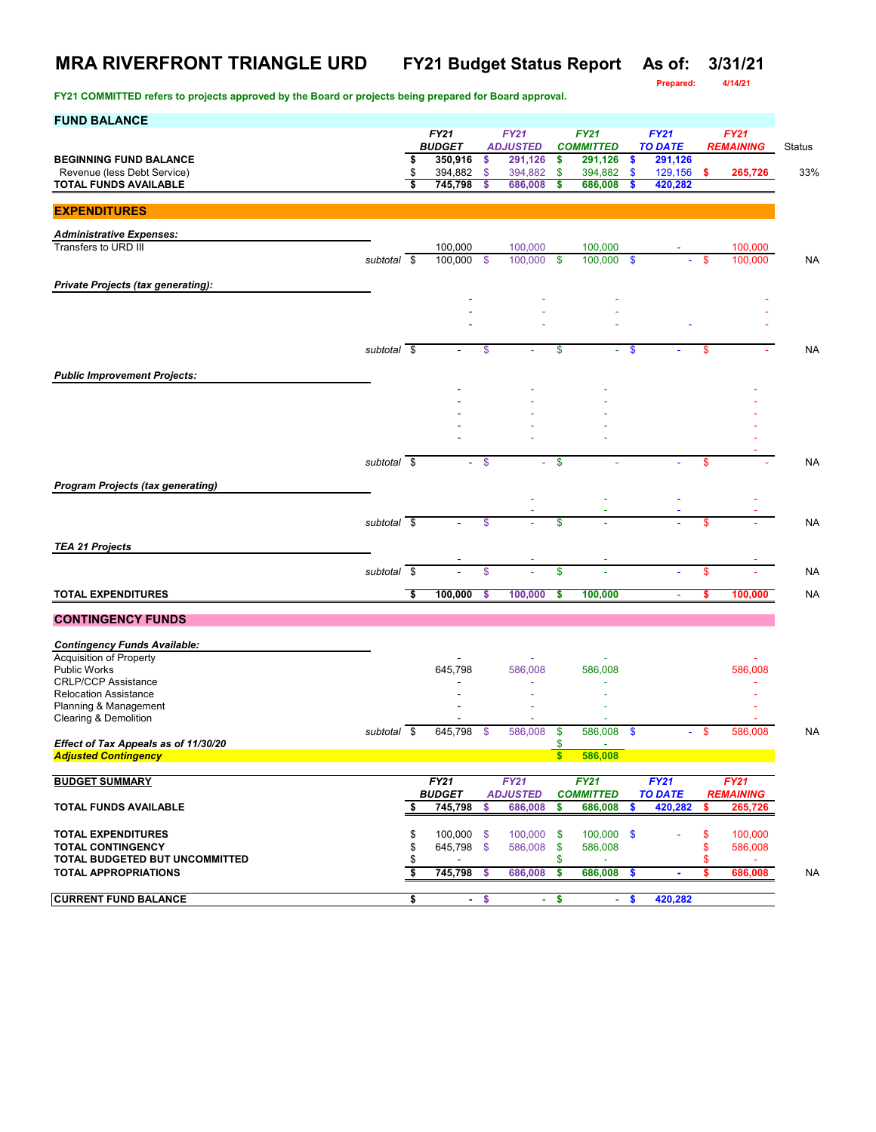**Prepared: 4/14/21**

| <b>FY21</b><br><b>FY21</b><br><b>FY21</b><br><b>FY21</b><br><b>FY21</b><br><b>BUDGET</b><br><b>ADJUSTED</b><br><b>TO DATE</b><br><b>COMMITTED</b><br><b>REMAINING</b><br><b>BEGINNING FUND BALANCE</b><br>350,916<br>291,126<br>\$<br>291,126<br>291,126<br>\$<br>\$<br>\$<br>Revenue (less Debt Service)<br>\$<br>394,882<br>\$<br>129,156<br>\$<br>394,882<br>394,882<br>\$<br>265,726<br>- S<br>\$<br>745,798<br>\$<br>\$<br>686,008<br>420,282<br>TOTAL FUNDS AVAILABLE<br>686,008<br>s<br><b>EXPENDITURES</b><br><b>Administrative Expenses:</b><br>Transfers to URD III<br>100,000<br>100,000<br>100,000<br>100,000<br>100,000<br>100,000<br>\$<br>100,000<br>subtotal \$<br>\$<br>\$<br>100,000<br>S<br><b>Private Projects (tax generating):</b> | Status<br>33% |
|----------------------------------------------------------------------------------------------------------------------------------------------------------------------------------------------------------------------------------------------------------------------------------------------------------------------------------------------------------------------------------------------------------------------------------------------------------------------------------------------------------------------------------------------------------------------------------------------------------------------------------------------------------------------------------------------------------------------------------------------------------|---------------|
|                                                                                                                                                                                                                                                                                                                                                                                                                                                                                                                                                                                                                                                                                                                                                          |               |
|                                                                                                                                                                                                                                                                                                                                                                                                                                                                                                                                                                                                                                                                                                                                                          |               |
|                                                                                                                                                                                                                                                                                                                                                                                                                                                                                                                                                                                                                                                                                                                                                          |               |
|                                                                                                                                                                                                                                                                                                                                                                                                                                                                                                                                                                                                                                                                                                                                                          |               |
|                                                                                                                                                                                                                                                                                                                                                                                                                                                                                                                                                                                                                                                                                                                                                          |               |
|                                                                                                                                                                                                                                                                                                                                                                                                                                                                                                                                                                                                                                                                                                                                                          |               |
|                                                                                                                                                                                                                                                                                                                                                                                                                                                                                                                                                                                                                                                                                                                                                          | <b>NA</b>     |
|                                                                                                                                                                                                                                                                                                                                                                                                                                                                                                                                                                                                                                                                                                                                                          |               |
|                                                                                                                                                                                                                                                                                                                                                                                                                                                                                                                                                                                                                                                                                                                                                          |               |
|                                                                                                                                                                                                                                                                                                                                                                                                                                                                                                                                                                                                                                                                                                                                                          |               |
|                                                                                                                                                                                                                                                                                                                                                                                                                                                                                                                                                                                                                                                                                                                                                          |               |
| subtotal \$<br>\$<br>\$<br>\$<br>\$<br>÷                                                                                                                                                                                                                                                                                                                                                                                                                                                                                                                                                                                                                                                                                                                 | <b>NA</b>     |
|                                                                                                                                                                                                                                                                                                                                                                                                                                                                                                                                                                                                                                                                                                                                                          |               |
| <b>Public Improvement Projects:</b>                                                                                                                                                                                                                                                                                                                                                                                                                                                                                                                                                                                                                                                                                                                      |               |
|                                                                                                                                                                                                                                                                                                                                                                                                                                                                                                                                                                                                                                                                                                                                                          |               |
|                                                                                                                                                                                                                                                                                                                                                                                                                                                                                                                                                                                                                                                                                                                                                          |               |
|                                                                                                                                                                                                                                                                                                                                                                                                                                                                                                                                                                                                                                                                                                                                                          |               |
| $subtotal$ \$<br>$\mathbf{\$}$                                                                                                                                                                                                                                                                                                                                                                                                                                                                                                                                                                                                                                                                                                                           |               |
| $-$ \$<br>\$<br>$\sim$                                                                                                                                                                                                                                                                                                                                                                                                                                                                                                                                                                                                                                                                                                                                   | <b>NA</b>     |
| <b>Program Projects (tax generating)</b>                                                                                                                                                                                                                                                                                                                                                                                                                                                                                                                                                                                                                                                                                                                 |               |
|                                                                                                                                                                                                                                                                                                                                                                                                                                                                                                                                                                                                                                                                                                                                                          |               |
| $\boldsymbol{s}$<br>$subtotal$ \$<br>\$<br>\$<br>$\blacksquare$                                                                                                                                                                                                                                                                                                                                                                                                                                                                                                                                                                                                                                                                                          | <b>NA</b>     |
| <b>TEA 21 Projects</b>                                                                                                                                                                                                                                                                                                                                                                                                                                                                                                                                                                                                                                                                                                                                   |               |
|                                                                                                                                                                                                                                                                                                                                                                                                                                                                                                                                                                                                                                                                                                                                                          |               |
| subtotal $\sqrt{s}$<br>\$<br>\$<br>\$                                                                                                                                                                                                                                                                                                                                                                                                                                                                                                                                                                                                                                                                                                                    | <b>NA</b>     |
| <b>TOTAL EXPENDITURES</b><br>Ŝ<br>100,000<br>100,000<br>\$<br>100,000<br>\$<br>100,000                                                                                                                                                                                                                                                                                                                                                                                                                                                                                                                                                                                                                                                                   | <b>NA</b>     |
| <b>CONTINGENCY FUNDS</b>                                                                                                                                                                                                                                                                                                                                                                                                                                                                                                                                                                                                                                                                                                                                 |               |
| <b>Contingency Funds Available:</b>                                                                                                                                                                                                                                                                                                                                                                                                                                                                                                                                                                                                                                                                                                                      |               |
| <b>Acquisition of Property</b>                                                                                                                                                                                                                                                                                                                                                                                                                                                                                                                                                                                                                                                                                                                           |               |
| <b>Public Works</b><br>586,008<br>645,798<br>586,008<br>586,008                                                                                                                                                                                                                                                                                                                                                                                                                                                                                                                                                                                                                                                                                          |               |
| <b>CRLP/CCP Assistance</b><br><b>Relocation Assistance</b>                                                                                                                                                                                                                                                                                                                                                                                                                                                                                                                                                                                                                                                                                               |               |
| Planning & Management                                                                                                                                                                                                                                                                                                                                                                                                                                                                                                                                                                                                                                                                                                                                    |               |
| Clearing & Demolition                                                                                                                                                                                                                                                                                                                                                                                                                                                                                                                                                                                                                                                                                                                                    |               |
| 586,008<br>subtotal \$<br>645,798<br>\$<br>586,008<br>\$<br>\$<br>586,008<br>\$<br>÷<br>Effect of Tax Appeals as of 11/30/20<br>\$<br>$\sim$                                                                                                                                                                                                                                                                                                                                                                                                                                                                                                                                                                                                             | NA            |
| $\frac{1}{2}$<br><b>Adjusted Contingency</b><br>586,008                                                                                                                                                                                                                                                                                                                                                                                                                                                                                                                                                                                                                                                                                                  |               |
|                                                                                                                                                                                                                                                                                                                                                                                                                                                                                                                                                                                                                                                                                                                                                          |               |
| <b>BUDGET SUMMARY</b><br><b>FY21</b><br><b>FY21</b><br><b>FY21</b><br>FY21<br><b>FY21</b><br><b>BUDGET</b><br><b>ADJUSTED</b><br><b>COMMITTED</b><br><b>TO DATE</b><br><b>REMAINING</b>                                                                                                                                                                                                                                                                                                                                                                                                                                                                                                                                                                  |               |
| 745,798<br>686,008<br>686,008<br>265,726<br><b>TOTAL FUNDS AVAILABLE</b><br>\$<br>\$<br>\$<br>\$<br>420,282<br>\$                                                                                                                                                                                                                                                                                                                                                                                                                                                                                                                                                                                                                                        |               |
|                                                                                                                                                                                                                                                                                                                                                                                                                                                                                                                                                                                                                                                                                                                                                          |               |
| <b>TOTAL EXPENDITURES</b><br>\$<br>$100,000$ \$<br>100,000<br>$100,000$ \$<br>\$<br>100,000<br>\$<br><b>TOTAL CONTINGENCY</b><br>\$<br>645,798 \$<br>586,008<br>586,008<br>\$<br>586,008<br>\$                                                                                                                                                                                                                                                                                                                                                                                                                                                                                                                                                           |               |
| TOTAL BUDGETED BUT UNCOMMITTED<br>\$<br>\$<br>\$                                                                                                                                                                                                                                                                                                                                                                                                                                                                                                                                                                                                                                                                                                         |               |
| \$<br>745,798<br><b>TOTAL APPROPRIATIONS</b><br>686,008<br>\$<br>686,008<br>686,008<br>\$<br>\$<br>\$<br>$\blacksquare$                                                                                                                                                                                                                                                                                                                                                                                                                                                                                                                                                                                                                                  | <b>NA</b>     |
| \$<br><b>CURRENT FUND BALANCE</b><br>$-5$<br>$-5$<br>$-5$<br>420,282                                                                                                                                                                                                                                                                                                                                                                                                                                                                                                                                                                                                                                                                                     |               |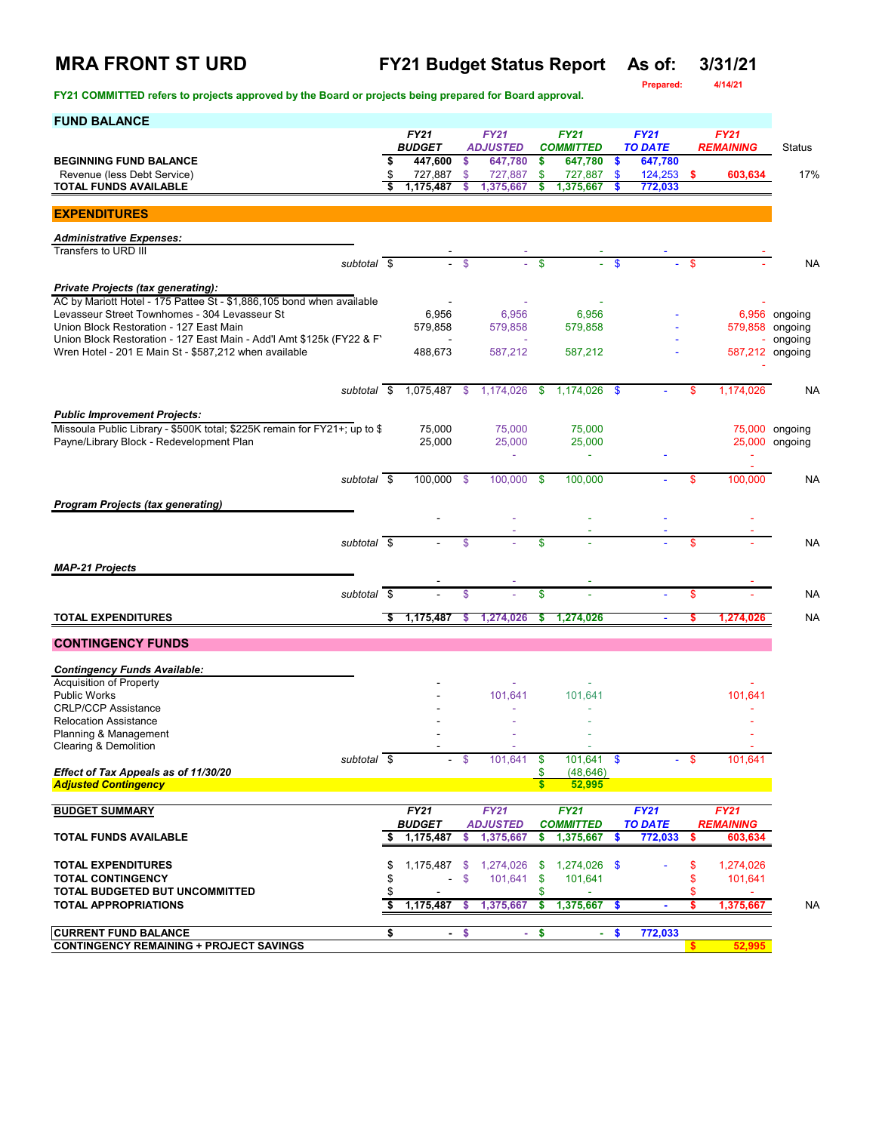# **MRA FRONT ST URD FY21 Budget Status Report As of: 3/31/21**

**FY21 COMMITTED refers to projects approved by the Board or projects being prepared for Board approval.** 

**Prepared: 4/14/21**

| <b>FUND BALANCE</b>                                                                                                    |                                |               |                            |                    |                             |               |                           |     |                  |                                  |
|------------------------------------------------------------------------------------------------------------------------|--------------------------------|---------------|----------------------------|--------------------|-----------------------------|---------------|---------------------------|-----|------------------|----------------------------------|
|                                                                                                                        | <b>FY21</b>                    |               | <b>FY21</b>                |                    | <b>FY21</b>                 |               | <b>FY21</b>               |     | <b>FY21</b>      |                                  |
| <b>BEGINNING FUND BALANCE</b>                                                                                          | \$<br><b>BUDGET</b><br>447,600 | \$            | <b>ADJUSTED</b><br>647,780 | \$                 | <b>COMMITTED</b><br>647,780 | \$            | <b>TO DATE</b><br>647,780 |     | <b>REMAINING</b> | Status                           |
| Revenue (less Debt Service)                                                                                            | \$<br>727,887                  | \$            | 727,887                    | \$                 | 727,887                     | \$            | 124,253                   | -\$ | 603,634          | 17%                              |
| TOTAL FUNDS AVAILABLE                                                                                                  | 1,175,487                      | S             | 1,375,667                  | \$                 | 1,375,667                   | S             | 772,033                   |     |                  |                                  |
| <b>EXPENDITURES</b>                                                                                                    |                                |               |                            |                    |                             |               |                           |     |                  |                                  |
|                                                                                                                        |                                |               |                            |                    |                             |               |                           |     |                  |                                  |
| <b>Administrative Expenses:</b>                                                                                        |                                |               |                            |                    |                             |               |                           |     |                  |                                  |
| Transfers to URD III<br>subtotal \$                                                                                    |                                | - \$          |                            | \$                 | ÷.                          | $\mathbf{\$}$ |                           | -\$ |                  | <b>NA</b>                        |
|                                                                                                                        |                                |               |                            |                    |                             |               |                           |     |                  |                                  |
| <b>Private Projects (tax generating):</b>                                                                              |                                |               |                            |                    |                             |               |                           |     |                  |                                  |
| AC by Mariott Hotel - 175 Pattee St - \$1,886,105 bond when available<br>Levasseur Street Townhomes - 304 Levasseur St |                                |               |                            |                    |                             |               |                           |     |                  |                                  |
| Union Block Restoration - 127 East Main                                                                                | 6,956<br>579,858               |               | 6,956<br>579,858           |                    | 6,956<br>579,858            |               |                           |     | 579,858 ongoing  | 6,956 ongoing                    |
| Union Block Restoration - 127 East Main - Add'l Amt \$125k (FY22 & F'                                                  |                                |               |                            |                    |                             |               |                           |     | ÷.               | ongoing                          |
| Wren Hotel - 201 E Main St - \$587,212 when available                                                                  | 488,673                        |               | 587,212                    |                    | 587,212                     |               |                           |     | 587,212 ongoing  |                                  |
|                                                                                                                        |                                |               |                            |                    |                             |               |                           |     |                  |                                  |
| subtotal \$                                                                                                            | 1,075,487                      | $\sqrt[6]{3}$ | 1,174,026                  | \$                 | 1,174,026                   | \$            |                           | \$  | 1,174,026        | <b>NA</b>                        |
|                                                                                                                        |                                |               |                            |                    |                             |               |                           |     |                  |                                  |
| <b>Public Improvement Projects:</b>                                                                                    |                                |               |                            |                    |                             |               |                           |     |                  |                                  |
| Missoula Public Library - \$500K total; \$225K remain for FY21+; up to \$<br>Payne/Library Block - Redevelopment Plan  | 75,000<br>25,000               |               | 75,000<br>25,000           |                    | 75,000<br>25,000            |               |                           |     |                  | 75,000 ongoing<br>25,000 ongoing |
|                                                                                                                        |                                |               | $\blacksquare$             |                    | $\blacksquare$              |               |                           |     |                  |                                  |
|                                                                                                                        |                                |               |                            |                    |                             |               |                           |     |                  |                                  |
| subtotal \$                                                                                                            | 100,000 \$                     |               | 100,000                    | \$                 | 100,000                     |               |                           | \$  | 100,000          | <b>NA</b>                        |
| <b>Program Projects (tax generating)</b>                                                                               |                                |               |                            |                    |                             |               |                           |     |                  |                                  |
|                                                                                                                        |                                |               |                            |                    |                             |               |                           |     |                  |                                  |
|                                                                                                                        |                                |               |                            |                    |                             |               |                           |     |                  |                                  |
| subtotal \$                                                                                                            |                                | \$            |                            | \$                 |                             |               |                           | \$  |                  | <b>NA</b>                        |
| <b>MAP-21 Projects</b>                                                                                                 |                                |               |                            |                    |                             |               |                           |     |                  |                                  |
|                                                                                                                        |                                |               |                            |                    |                             |               |                           |     |                  |                                  |
| subtotal \$                                                                                                            |                                | \$            |                            | \$                 |                             |               |                           | \$  |                  | <b>NA</b>                        |
| <b>TOTAL EXPENDITURES</b>                                                                                              | \$<br>1,175,487                | s             | 1,274,026                  | \$                 | 1,274,026                   |               |                           | s   | 1,274,026        | <b>NA</b>                        |
| <b>CONTINGENCY FUNDS</b>                                                                                               |                                |               |                            |                    |                             |               |                           |     |                  |                                  |
|                                                                                                                        |                                |               |                            |                    |                             |               |                           |     |                  |                                  |
| <b>Contingency Funds Available:</b><br><b>Acquisition of Property</b>                                                  |                                |               |                            |                    |                             |               |                           |     |                  |                                  |
| <b>Public Works</b>                                                                                                    |                                |               | 101,641                    |                    | 101.641                     |               |                           |     | 101,641          |                                  |
| <b>CRLP/CCP Assistance</b>                                                                                             |                                |               |                            |                    |                             |               |                           |     |                  |                                  |
| <b>Relocation Assistance</b><br>Planning & Management                                                                  |                                |               |                            |                    |                             |               |                           |     |                  |                                  |
| Clearing & Demolition                                                                                                  |                                |               |                            |                    |                             |               |                           |     |                  |                                  |
| subtotal \$                                                                                                            |                                |               | 101,641                    | \$                 | 101,641 \$                  |               |                           |     | 101,641          |                                  |
| Effect of Tax Appeals as of 11/30/20<br><b>Adjusted Contingency</b>                                                    |                                |               |                            | \$<br>$\mathbf{s}$ | (48, 646)<br>52,995         |               |                           |     |                  |                                  |
|                                                                                                                        |                                |               |                            |                    |                             |               |                           |     |                  |                                  |
| <b>BUDGET SUMMARY</b>                                                                                                  | <b>FY21</b>                    |               | <b>FY21</b>                |                    | <b>FY21</b>                 |               | <b>FY21</b>               |     | <b>FY21</b>      |                                  |
|                                                                                                                        | <b>BUDGET</b>                  |               | <i><b>ADJUSTED</b></i>     |                    | <b>COMMITTED</b>            |               | <b>TO DATE</b>            |     | <b>REMAINING</b> |                                  |
| <b>TOTAL FUNDS AVAILABLE</b>                                                                                           | \$<br>1,175,487                | s             | 1,375,667                  | s                  | 1,375,667                   | S             | 772,033                   | s   | 603,634          |                                  |
| <b>TOTAL EXPENDITURES</b>                                                                                              | \$<br>$1,175,487$ \$           |               | 1,274,026                  | -\$                | 1,274,026 \$                |               |                           | \$  | 1,274,026        |                                  |
| <b>TOTAL CONTINGENCY</b>                                                                                               | \$<br>$\sim$                   | \$            | 101,641                    | $\mathbf{\$}$      | 101,641                     |               |                           | \$  | 101,641          |                                  |
| TOTAL BUDGETED BUT UNCOMMITTED                                                                                         | \$                             |               |                            | \$                 |                             |               |                           | \$  |                  |                                  |
| <b>TOTAL APPROPRIATIONS</b>                                                                                            | \$<br>1,175,487                | \$            | 1,375,667                  | \$                 | 1,375,667                   | \$            | $\blacksquare$            | \$  | 1,375,667        | <b>NA</b>                        |
| <b>CURRENT FUND BALANCE</b>                                                                                            | \$                             | $\frac{1}{2}$ |                            |                    |                             | $\frac{1}{2}$ |                           |     |                  |                                  |
| <b>CONTINGENCY REMAINING + PROJECT SAVINGS</b>                                                                         | ÷                              |               | ÷.                         | \$                 | ÷                           |               | 772,033                   |     | 52,995           |                                  |
|                                                                                                                        |                                |               |                            |                    |                             |               |                           |     |                  |                                  |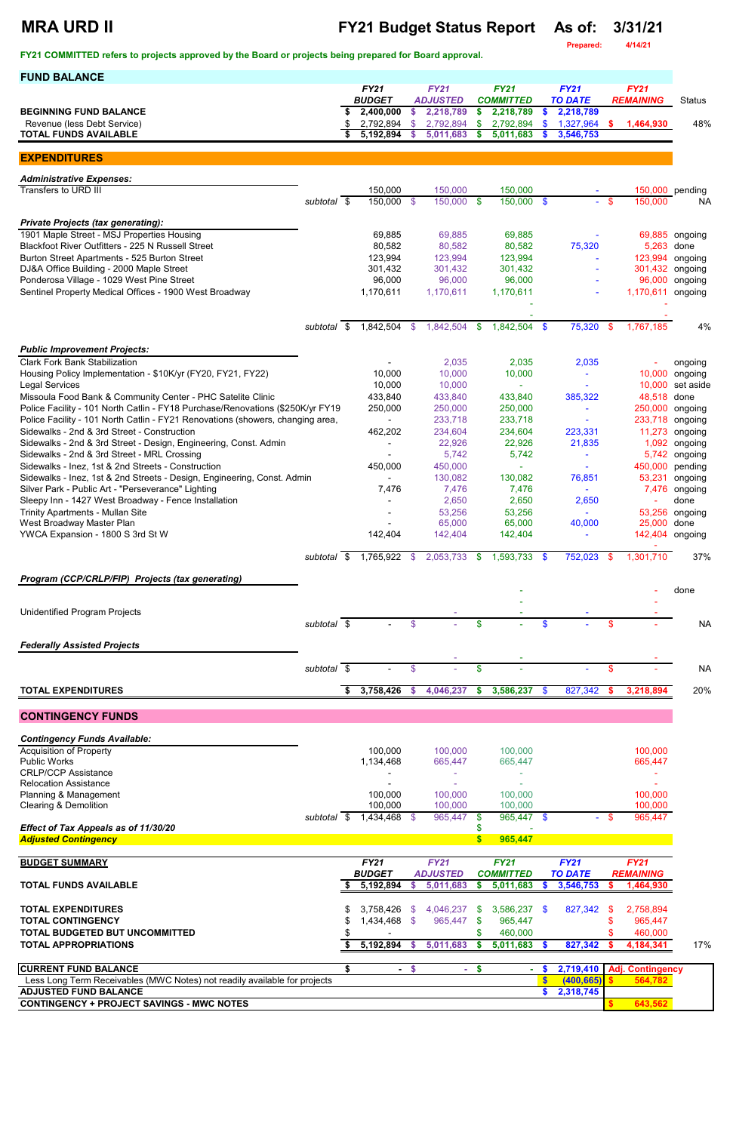## **MRA URD II FY21 Budget Status Report As of: 3/31/21**

**Prepared: 4/14/21**

| <b>FUND BALANCE</b>                                                                               |                          |      |                              |              |                                |               |                                 |                           |                               |          |                                    |                    |
|---------------------------------------------------------------------------------------------------|--------------------------|------|------------------------------|--------------|--------------------------------|---------------|---------------------------------|---------------------------|-------------------------------|----------|------------------------------------|--------------------|
|                                                                                                   |                          |      | <b>FY21</b><br><b>BUDGET</b> |              | <b>FY21</b><br><b>ADJUSTED</b> |               | <b>FY21</b><br><b>COMMITTED</b> |                           | <b>FY21</b><br><b>TO DATE</b> |          | <b>FY21</b><br><b>REMAINING</b>    | <b>Status</b>      |
| <b>BEGINNING FUND BALANCE</b>                                                                     |                          | \$   | 2,400,000                    | \$           | 2,218,789                      | \$            | 2,218,789                       | \$                        | 2,218,789                     |          |                                    |                    |
| Revenue (less Debt Service)                                                                       |                          | S    | 2,792,894                    | \$           | 2,792,894                      | \$            | 2,792,894                       | \$                        | 1,327,964                     | s.       | 1,464,930                          | 48%                |
| <b>TOTAL FUNDS AVAILABLE</b>                                                                      |                          | \$   | 5,192,894                    | <b>S</b>     | 5,011,683                      | \$            | 5,011,683                       | <b>S</b>                  | 3,546,753                     |          |                                    |                    |
| <b>EXPENDITURES</b>                                                                               |                          |      |                              |              |                                |               |                                 |                           |                               |          |                                    |                    |
|                                                                                                   |                          |      |                              |              |                                |               |                                 |                           |                               |          |                                    |                    |
| <b>Administrative Expenses:</b><br>Transfers to URD III                                           |                          |      | 150,000                      |              | 150,000                        |               | 150,000                         |                           |                               |          |                                    | 150,000 pending    |
|                                                                                                   | subtotal \$              |      | 150,000 \$                   |              | 150,000 \$                     |               | 150,000 \$                      |                           | $\omega_{\rm{eff}}$           | -\$      | 150,000                            | <b>NA</b>          |
|                                                                                                   |                          |      |                              |              |                                |               |                                 |                           |                               |          |                                    |                    |
| <b>Private Projects (tax generating):</b><br>1901 Maple Street - MSJ Properties Housing           |                          |      | 69,885                       |              | 69,885                         |               | 69,885                          |                           |                               |          |                                    | 69,885 ongoing     |
| Blackfoot River Outfitters - 225 N Russell Street                                                 |                          |      | 80,582                       |              | 80,582                         |               | 80,582                          |                           | 75,320                        |          | 5,263                              | done               |
| Burton Street Apartments - 525 Burton Street                                                      |                          |      | 123,994                      |              | 123,994                        |               | 123,994                         |                           |                               |          | 123,994                            | ongoing            |
| DJ&A Office Building - 2000 Maple Street<br>Ponderosa Village - 1029 West Pine Street             |                          |      | 301,432<br>96,000            |              | 301,432<br>96,000              |               | 301,432<br>96,000               |                           |                               |          | 301,432<br>96,000                  | ongoing            |
| Sentinel Property Medical Offices - 1900 West Broadway                                            |                          |      | 1,170,611                    |              | 1,170,611                      |               | 1,170,611                       |                           |                               |          | 1,170,611                          | ongoing<br>ongoing |
|                                                                                                   |                          |      |                              |              |                                |               |                                 |                           |                               |          |                                    |                    |
|                                                                                                   |                          |      |                              |              |                                |               |                                 |                           |                               |          |                                    |                    |
|                                                                                                   | subtotal                 | - \$ | 1,842,504                    | -\$          | 1,842,504                      | \$            | 1,842,504                       | $\sqrt[6]{3}$             | 75,320                        | \$       | 1,767,185                          | 4%                 |
| <b>Public Improvement Projects:</b>                                                               |                          |      |                              |              |                                |               |                                 |                           |                               |          |                                    |                    |
| <b>Clark Fork Bank Stabilization</b>                                                              |                          |      |                              |              | 2,035                          |               | 2,035                           |                           | 2,035                         |          |                                    | ongoing            |
| Housing Policy Implementation - \$10K/yr (FY20, FY21, FY22)                                       |                          |      | 10,000                       |              | 10,000                         |               | 10,000                          |                           | $\tilde{\phantom{a}}$         |          | 10,000                             | ongoing            |
| <b>Legal Services</b><br>Missoula Food Bank & Community Center - PHC Satelite Clinic              |                          |      | 10,000<br>433,840            |              | 10,000<br>433,840              |               | 433,840                         |                           | 385,322                       |          | 10,000<br>48,518                   | set aside<br>done  |
| Police Facility - 101 North Catlin - FY18 Purchase/Renovations (\$250K/yr FY19                    |                          |      | 250,000                      |              | 250,000                        |               | 250,000                         |                           | $\blacksquare$                |          | 250,000                            | ongoing            |
| Police Facility - 101 North Catlin - FY21 Renovations (showers, changing area,                    |                          |      |                              |              | 233,718                        |               | 233,718                         |                           |                               |          | 233,718                            | ongoing            |
| Sidewalks - 2nd & 3rd Street - Construction                                                       |                          |      | 462,202                      |              | 234,604                        |               | 234,604                         |                           | 223,331                       |          | 11,273                             | ongoing            |
| Sidewalks - 2nd & 3rd Street - Design, Engineering, Const. Admin                                  |                          |      |                              |              | 22,926                         |               | 22,926                          |                           | 21,835                        |          | 1,092                              | ongoing            |
| Sidewalks - 2nd & 3rd Street - MRL Crossing<br>Sidewalks - Inez, 1st & 2nd Streets - Construction |                          |      | 450,000                      |              | 5,742<br>450,000               |               | 5,742                           |                           |                               |          | 5,742<br>450,000                   | ongoing<br>pending |
| Sidewalks - Inez, 1st & 2nd Streets - Design, Engineering, Const. Admin                           |                          |      |                              |              | 130,082                        |               | 130,082                         |                           | 76,851                        |          | 53,231                             | ongoing            |
| Silver Park - Public Art - "Perseverance" Lighting                                                |                          |      | 7,476                        |              | 7,476                          |               | 7,476                           |                           | $\sim$                        |          | 7,476                              | ongoing            |
| Sleepy Inn - 1427 West Broadway - Fence Installation                                              |                          |      |                              |              | 2,650                          |               | 2,650                           |                           | 2,650                         |          |                                    | done               |
| <b>Trinity Apartments - Mullan Site</b><br>West Broadway Master Plan                              |                          |      |                              |              | 53,256<br>65,000               |               | 53,256<br>65,000                |                           | $\blacksquare$<br>40,000      |          | 53,256<br>25,000                   | ongoing<br>done    |
| YWCA Expansion - 1800 S 3rd St W                                                                  |                          |      | 142,404                      |              | 142,404                        |               | 142,404                         |                           |                               |          | 142,404                            | ongoing            |
|                                                                                                   |                          |      |                              |              |                                |               |                                 |                           |                               |          |                                    |                    |
|                                                                                                   | subtotal \$              |      | 1,765,922                    | \$           | 2,053,733                      | <b>S</b>      | $1,593,733$ \$                  |                           | 752,023                       | - \$     | 1,301,710                          | 37%                |
| Program (CCP/CRLP/FIP) Projects (tax generating)                                                  |                          |      |                              |              |                                |               |                                 |                           |                               |          |                                    |                    |
|                                                                                                   |                          |      |                              |              |                                |               |                                 |                           |                               |          |                                    | done               |
| <b>Unidentified Program Projects</b>                                                              |                          |      |                              |              |                                |               |                                 |                           |                               |          |                                    |                    |
|                                                                                                   | subtotal $\overline{\$}$ |      |                              | $\mathbf{s}$ |                                | $\mathbf{\$}$ |                                 | \$                        |                               | \$       |                                    | <b>NA</b>          |
|                                                                                                   |                          |      |                              |              |                                |               |                                 |                           |                               |          |                                    |                    |
| <b>Federally Assisted Projects</b>                                                                |                          |      |                              |              |                                |               |                                 |                           |                               |          |                                    |                    |
|                                                                                                   | subtotal \$              |      |                              | \$           |                                | \$            |                                 |                           |                               | \$       |                                    | <b>NA</b>          |
|                                                                                                   |                          |      |                              |              |                                |               |                                 |                           |                               |          |                                    |                    |
| <b>TOTAL EXPENDITURES</b>                                                                         |                          | \$   | 3,758,426                    | <b>S</b>     | 4,046,237                      | \$            | 3,586,237                       | $\mathbf{\$}$             | 827,342                       | <b>S</b> | 3,218,894                          | 20%                |
| <b>CONTINGENCY FUNDS</b>                                                                          |                          |      |                              |              |                                |               |                                 |                           |                               |          |                                    |                    |
|                                                                                                   |                          |      |                              |              |                                |               |                                 |                           |                               |          |                                    |                    |
| <b>Contingency Funds Available:</b>                                                               |                          |      |                              |              |                                |               |                                 |                           |                               |          |                                    |                    |
| <b>Acquisition of Property</b><br><b>Public Works</b>                                             |                          |      | 100,000<br>1,134,468         |              | 100,000<br>665,447             |               | 100,000<br>665,447              |                           |                               |          | 100,000<br>665,447                 |                    |
| <b>CRLP/CCP Assistance</b>                                                                        |                          |      |                              |              |                                |               |                                 |                           |                               |          |                                    |                    |
| <b>Relocation Assistance</b>                                                                      |                          |      |                              |              |                                |               |                                 |                           |                               |          |                                    |                    |
| Planning & Management                                                                             |                          |      | 100,000                      |              | 100,000                        |               | 100,000                         |                           |                               |          | 100,000                            |                    |
| <b>Clearing &amp; Demolition</b>                                                                  | subtotal \$              |      | 100,000<br>1,434,468         | -S           | 100,000<br>965,447             | \$            | 100,000<br>$965,447$ \$         |                           |                               |          | 100,000<br>965,447                 |                    |
| Effect of Tax Appeals as of 11/30/20                                                              |                          |      |                              |              |                                | S             |                                 |                           |                               |          |                                    |                    |
| <b>Adjusted Contingency</b>                                                                       |                          |      |                              |              |                                | $\mathbf{s}$  | 965,447                         |                           |                               |          |                                    |                    |
| <b>BUDGET SUMMARY</b>                                                                             |                          |      | <b>FY21</b>                  |              | FY21                           |               | <b>FY21</b>                     |                           | FY21                          |          | FY21                               |                    |
|                                                                                                   |                          |      | <b>BUDGET</b>                |              | <b>ADJUSTED</b>                |               | <b>COMMITTED</b>                |                           | <b>TO DATE</b>                |          | <b>REMAINING</b>                   |                    |
| <b>TOTAL FUNDS AVAILABLE</b>                                                                      |                          |      | 5,192,894                    | S            | 5,011,683                      | \$            | 5,011,683                       |                           | 3,546,753                     | S        | 1,464,930                          |                    |
| <b>TOTAL EXPENDITURES</b>                                                                         |                          |      |                              |              | 3,758,426 \$ 4,046,237 \$      |               | 3,586,237 \$                    |                           | 827,342 \$                    |          | 2,758,894                          |                    |
| <b>TOTAL CONTINGENCY</b>                                                                          |                          |      | 1,434,468 \$                 |              | 965,447                        | S.            | 965,447                         |                           |                               |          | 965,447                            |                    |
| TOTAL BUDGETED BUT UNCOMMITTED                                                                    |                          |      |                              |              |                                |               | 460,000                         |                           |                               |          | 460,000                            |                    |
| <b>TOTAL APPROPRIATIONS</b>                                                                       |                          | S.   | $5,192,894$ \$               |              | 5,011,683                      | \$            | $5,011,683$ \$                  |                           | 827,342                       |          | 4,184,341                          | 17%                |
| <b>CURRENT FUND BALANCE</b>                                                                       |                          | \$   |                              | $-$ \$       |                                | $-$ \$        |                                 | - \$                      | 2,719,410                     |          |                                    |                    |
| Less Long Term Receivables (MWC Notes) not readily available for projects                         |                          |      |                              |              |                                |               | $\sim$                          | $\boldsymbol{\mathsf{s}}$ | (400, 665)                    |          | <b>Adj. Contingency</b><br>564,782 |                    |
| <b>ADJUSTED FUND BALANCE</b>                                                                      |                          |      |                              |              |                                |               |                                 | S.                        | 2,318,745                     |          |                                    |                    |
| <b>CONTINGENCY + PROJECT SAVINGS - MWC NOTES</b>                                                  |                          |      |                              |              |                                |               |                                 |                           |                               |          | 643,562                            |                    |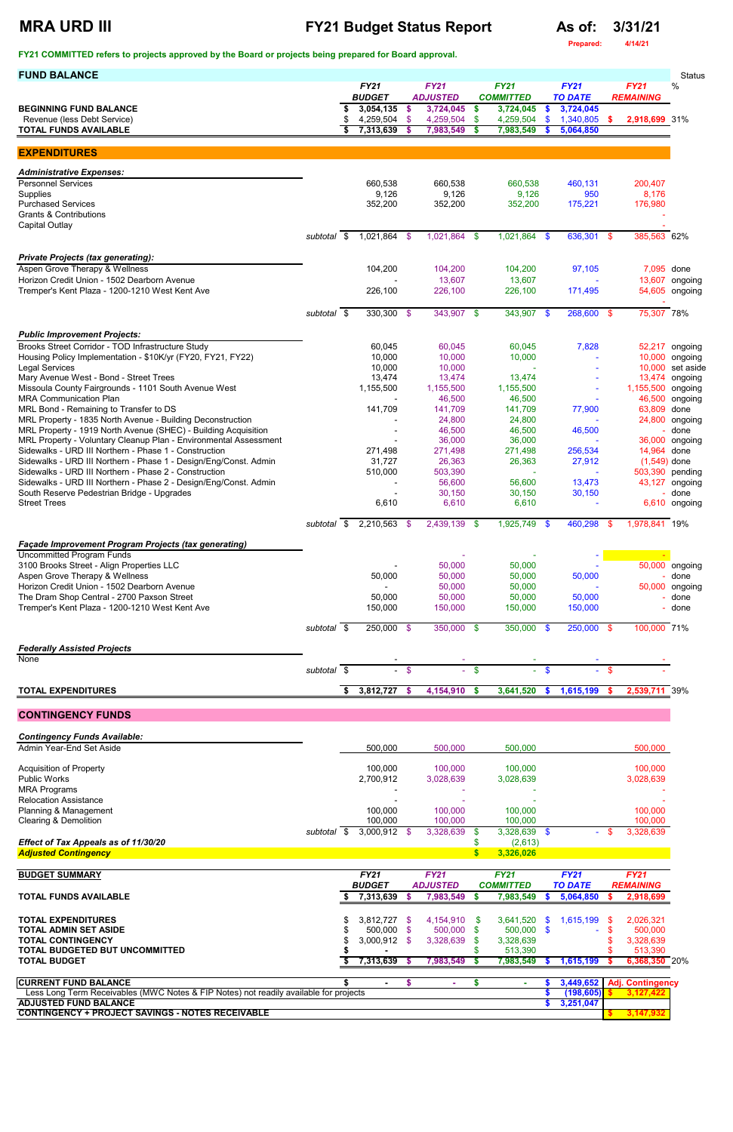### **MRA URD III FY21 Budget Status Report As of: 3/31/21**

**Prepared: 4/14/21**

**FY21 COMMITTED refers to projects approved by the Board or projects being prepared for Board approval.** 

| <b>FUND BALANCE</b>                                                                                                       |                     |    |                              |               |                                |               |                                 |               |                               |          |                                 | <b>Status</b>                    |
|---------------------------------------------------------------------------------------------------------------------------|---------------------|----|------------------------------|---------------|--------------------------------|---------------|---------------------------------|---------------|-------------------------------|----------|---------------------------------|----------------------------------|
|                                                                                                                           |                     |    | <b>FY21</b><br><b>BUDGET</b> |               | <b>FY21</b><br><b>ADJUSTED</b> |               | <b>FY21</b><br><b>COMMITTED</b> |               | <b>FY21</b><br><b>TO DATE</b> |          | <b>FY21</b><br><b>REMAINING</b> | %                                |
| <b>BEGINNING FUND BALANCE</b>                                                                                             |                     | S  | 3,054,135                    | $\mathbf{\$}$ | 3,724,045                      | \$            | 3,724,045                       | \$.           | 3,724,045                     |          |                                 |                                  |
| Revenue (less Debt Service)                                                                                               |                     |    | 4,259,504                    | -\$           | 4,259,504                      | \$            | 4,259,504                       | \$            | 1,340,805                     | <b>S</b> | 2,918,699 31%                   |                                  |
| <b>TOTAL FUNDS AVAILABLE</b>                                                                                              |                     |    | 7,313,639                    | \$            | 7,983,549                      | S             | 7,983,549                       | S             | 5,064,850                     |          |                                 |                                  |
| <b>EXPENDITURES</b>                                                                                                       |                     |    |                              |               |                                |               |                                 |               |                               |          |                                 |                                  |
| <b>Administrative Expenses:</b>                                                                                           |                     |    |                              |               |                                |               |                                 |               |                               |          |                                 |                                  |
| <b>Personnel Services</b>                                                                                                 |                     |    | 660,538                      |               | 660,538                        |               | 660,538                         |               | 460,131                       |          | 200,407                         |                                  |
| Supplies<br><b>Purchased Services</b>                                                                                     |                     |    | 9,126<br>352,200             |               | 9,126<br>352,200               |               | 9,126<br>352,200                |               | 950<br>175,221                |          | 8,176<br>176,980                |                                  |
| <b>Grants &amp; Contributions</b>                                                                                         |                     |    |                              |               |                                |               |                                 |               |                               |          |                                 |                                  |
| Capital Outlay                                                                                                            | subtotal \$         |    | 1,021,864                    |               | $1,021,864$ \$                 |               | $1,021,864$ \$                  |               | 636,301 \$                    |          | 385,563 62%                     |                                  |
|                                                                                                                           |                     |    |                              | \$            |                                |               |                                 |               |                               |          |                                 |                                  |
| <b>Private Projects (tax generating):</b>                                                                                 |                     |    |                              |               |                                |               |                                 |               |                               |          |                                 |                                  |
| Aspen Grove Therapy & Wellness<br>Horizon Credit Union - 1502 Dearborn Avenue                                             |                     |    | 104,200                      |               | 104,200                        |               | 104,200                         |               | 97,105                        |          | 7,095 done                      |                                  |
| Tremper's Kent Plaza - 1200-1210 West Kent Ave                                                                            |                     |    | 226,100                      |               | 13,607<br>226,100              |               | 13,607<br>226,100               |               | 171,495                       |          |                                 | 13,607 ongoing<br>54,605 ongoing |
|                                                                                                                           |                     |    |                              |               |                                |               |                                 |               |                               |          |                                 |                                  |
|                                                                                                                           | subtotal $\sqrt{s}$ |    | 330,300 \$                   |               | 343,907 \$                     |               | 343,907 \$                      |               | 268,600 \$                    |          | 75,307 78%                      |                                  |
| <b>Public Improvement Projects:</b>                                                                                       |                     |    |                              |               |                                |               |                                 |               |                               |          |                                 |                                  |
| Brooks Street Corridor - TOD Infrastructure Study                                                                         |                     |    | 60,045                       |               | 60,045                         |               | 60,045                          |               | 7,828                         |          |                                 | 52,217 ongoing                   |
| Housing Policy Implementation - \$10K/yr (FY20, FY21, FY22)<br><b>Legal Services</b>                                      |                     |    | 10,000<br>10,000             |               | 10,000<br>10,000               |               | 10,000                          |               |                               |          | 10,000<br>10,000                | ongoing<br>set aside             |
| Mary Avenue West - Bond - Street Trees                                                                                    |                     |    | 13,474                       |               | 13,474                         |               | 13,474                          |               |                               |          | 13,474                          | ongoing                          |
| Missoula County Fairgrounds - 1101 South Avenue West                                                                      |                     |    | 1,155,500                    |               | 1,155,500                      |               | 1,155,500                       |               |                               |          | 1,155,500                       | ongoing                          |
| <b>MRA Communication Plan</b><br>MRL Bond - Remaining to Transfer to DS                                                   |                     |    | 141,709                      |               | 46,500<br>141,709              |               | 46,500<br>141,709               |               | 77,900                        |          | 46,500<br>63,809                | ongoing<br>done                  |
| MRL Property - 1835 North Avenue - Building Deconstruction                                                                |                     |    |                              |               | 24,800                         |               | 24,800                          |               |                               |          | 24,800                          | ongoing                          |
| MRL Property - 1919 North Avenue (SHEC) - Building Acquisition                                                            |                     |    |                              |               | 46,500                         |               | 46,500                          |               | 46,500                        |          |                                 | done                             |
| MRL Property - Voluntary Cleanup Plan - Environmental Assessment<br>Sidewalks - URD III Northern - Phase 1 - Construction |                     |    | 271,498                      |               | 36,000<br>271,498              |               | 36,000<br>271,498               |               | 256,534                       |          | 36,000<br>14,964 done           | ongoing                          |
| Sidewalks - URD III Northern - Phase 1 - Design/Eng/Const. Admin                                                          |                     |    | 31,727                       |               | 26,363                         |               | 26,363                          |               | 27,912                        |          | $(1,549)$ done                  |                                  |
| Sidewalks - URD III Northern - Phase 2 - Construction                                                                     |                     |    | 510,000                      |               | 503,390                        |               |                                 |               |                               |          | 503,390 pending                 |                                  |
| Sidewalks - URD III Northern - Phase 2 - Design/Eng/Const. Admin<br>South Reserve Pedestrian Bridge - Upgrades            |                     |    |                              |               | 56,600<br>30,150               |               | 56,600<br>30,150                |               | 13,473<br>30,150              |          |                                 | 43,127 ongoing<br>- done         |
| <b>Street Trees</b>                                                                                                       |                     |    | 6,610                        |               | 6,610                          |               | 6,610                           |               |                               |          |                                 | 6,610 ongoing                    |
|                                                                                                                           | subtotal \$         |    | 2,210,563                    | \$            | $2,439,139$ \$                 |               | 1,925,749                       | -\$           | 460,298                       | \$.      | 1,978,841 19%                   |                                  |
| <b>Façade Improvement Program Projects (tax generating)</b>                                                               |                     |    |                              |               |                                |               |                                 |               |                               |          |                                 |                                  |
| <b>Uncommitted Program Funds</b>                                                                                          |                     |    |                              |               |                                |               |                                 |               |                               |          |                                 |                                  |
| 3100 Brooks Street - Align Properties LLC<br>Aspen Grove Therapy & Wellness                                               |                     |    | 50,000                       |               | 50,000<br>50,000               |               | 50,000<br>50,000                |               | 50,000                        |          |                                 | 50,000 ongoing<br>- done         |
| Horizon Credit Union - 1502 Dearborn Avenue                                                                               |                     |    |                              |               | 50,000                         |               | 50,000                          |               |                               |          |                                 | 50,000 ongoing                   |
| The Dram Shop Central - 2700 Paxson Street                                                                                |                     |    | 50,000                       |               | 50,000                         |               | 50,000                          |               | 50,000                        |          |                                 | done                             |
| Tremper's Kent Plaza - 1200-1210 West Kent Ave                                                                            |                     |    | 150,000                      |               | 150,000                        |               | 150,000                         |               | 150,000                       |          |                                 | - done                           |
|                                                                                                                           | subtotal \$         |    | 250,000 \$                   |               | 350,000 \$                     |               | 350,000 \$                      |               | 250,000 \$                    |          | 100,000 71%                     |                                  |
| <b>Federally Assisted Projects</b>                                                                                        |                     |    |                              |               |                                |               |                                 |               |                               |          |                                 |                                  |
| <b>None</b>                                                                                                               |                     |    |                              |               |                                |               |                                 |               |                               |          |                                 |                                  |
|                                                                                                                           | subtotal \$         |    |                              | $-$ \$        | $\sim$                         | $\mathbf{\$}$ |                                 | <sup>\$</sup> |                               | $-$ \$   |                                 |                                  |
| <b>TOTAL EXPENDITURES</b>                                                                                                 |                     | \$ | 3,812,727                    | $\sim$        | 4,154,910 \$                   |               | 3,641,520                       | $\mathbf{\$}$ | 1,615,199                     | -S       | 2,539,711 39%                   |                                  |
| <b>CONTINGENCY FUNDS</b>                                                                                                  |                     |    |                              |               |                                |               |                                 |               |                               |          |                                 |                                  |
| <b>Contingency Funds Available:</b>                                                                                       |                     |    |                              |               |                                |               |                                 |               |                               |          |                                 |                                  |
| Admin Year-End Set Aside                                                                                                  |                     |    | 500,000                      |               | 500,000                        |               | 500,000                         |               |                               |          | 500,000                         |                                  |
| <b>Acquisition of Property</b>                                                                                            |                     |    | 100,000                      |               | 100,000                        |               | 100,000                         |               |                               |          | 100,000                         |                                  |
| <b>Public Works</b>                                                                                                       |                     |    | 2,700,912                    |               | 3,028,639                      |               | 3,028,639                       |               |                               |          | 3,028,639                       |                                  |
| <b>MRA Programs</b><br><b>Relocation Assistance</b>                                                                       |                     |    |                              |               |                                |               |                                 |               |                               |          |                                 |                                  |
|                                                                                                                           |                     |    |                              |               |                                |               |                                 |               |                               |          |                                 |                                  |

Planning & Management 100,000 100,000 100,000 100,000 Clearing & Demolition 100,000 100,000 100,000 100,000

|                                                                                       | subtotal | $3,000,912$ \$ |               |  | 3,328,639       |      | 3,328,639        |               | $\sim$         | \$.              | 3,328,639               |  |
|---------------------------------------------------------------------------------------|----------|----------------|---------------|--|-----------------|------|------------------|---------------|----------------|------------------|-------------------------|--|
| Effect of Tax Appeals as of 11/30/20                                                  |          |                |               |  |                 |      | (2,613)          |               |                |                  |                         |  |
| <b>Adjusted Contingency</b>                                                           |          |                |               |  |                 |      | 3,326,026        |               |                |                  |                         |  |
|                                                                                       |          |                |               |  |                 |      |                  |               |                |                  |                         |  |
| <b>BUDGET SUMMARY</b>                                                                 |          | <b>FY21</b>    |               |  | <b>FY21</b>     |      | <b>FY21</b>      |               | <b>FY21</b>    |                  | <b>FY21</b>             |  |
|                                                                                       |          |                | <b>BUDGET</b> |  | <b>ADJUSTED</b> |      | <b>COMMITTED</b> |               | <b>TO DATE</b> | <b>REMAINING</b> |                         |  |
| <b>TOTAL FUNDS AVAILABLE</b>                                                          |          | 7,313,639      |               |  | 7,983,549       |      | 7,983,549        |               | 5,064,850      |                  | 2,918,699               |  |
|                                                                                       |          |                |               |  |                 |      |                  |               |                |                  |                         |  |
| <b>TOTAL EXPENDITURES</b>                                                             |          | $3,812,727$ \$ |               |  | 4,154,910       | -SS  | 3,641,520        | <sup>\$</sup> | 1,615,199      | - \$             | 2,026,321               |  |
| TOTAL ADMIN SET ASIDE                                                                 |          |                | 500.000 \$    |  | 500,000         | - \$ | $500.000$ \$     |               | $\sim$         |                  | 500,000                 |  |
| <b>TOTAL CONTINGENCY</b>                                                              |          | $3,000,912$ \$ |               |  | 3,328,639       | S.   | 3,328,639        |               |                |                  | 3,328,639               |  |
| TOTAL BUDGETED BUT UNCOMMITTED                                                        |          |                |               |  |                 |      | 513,390          |               |                |                  | 513,390                 |  |
| <b>TOTAL BUDGET</b>                                                                   |          | 7,313,639      |               |  | 7,983,549       |      | 7,983,549        |               | 1,615,199      |                  | 6,368,350 20%           |  |
| <b>CURRENT FUND BALANCE</b>                                                           |          |                |               |  |                 |      |                  |               | 3,449,652      |                  | <b>Adj. Contingency</b> |  |
| Less Long Term Receivables (MWC Notes & FIP Notes) not readily available for projects |          |                |               |  |                 |      |                  |               | (198, 605)     |                  | 3,127,422               |  |
| <b>ADJUSTED FUND BALANCE</b>                                                          |          |                |               |  |                 |      |                  |               | 3,251,047      |                  |                         |  |
| <b>CONTINGENCY + PROJECT SAVINGS - NOTES RECEIVABLE</b>                               |          |                |               |  |                 |      |                  |               |                |                  | 3,147,932               |  |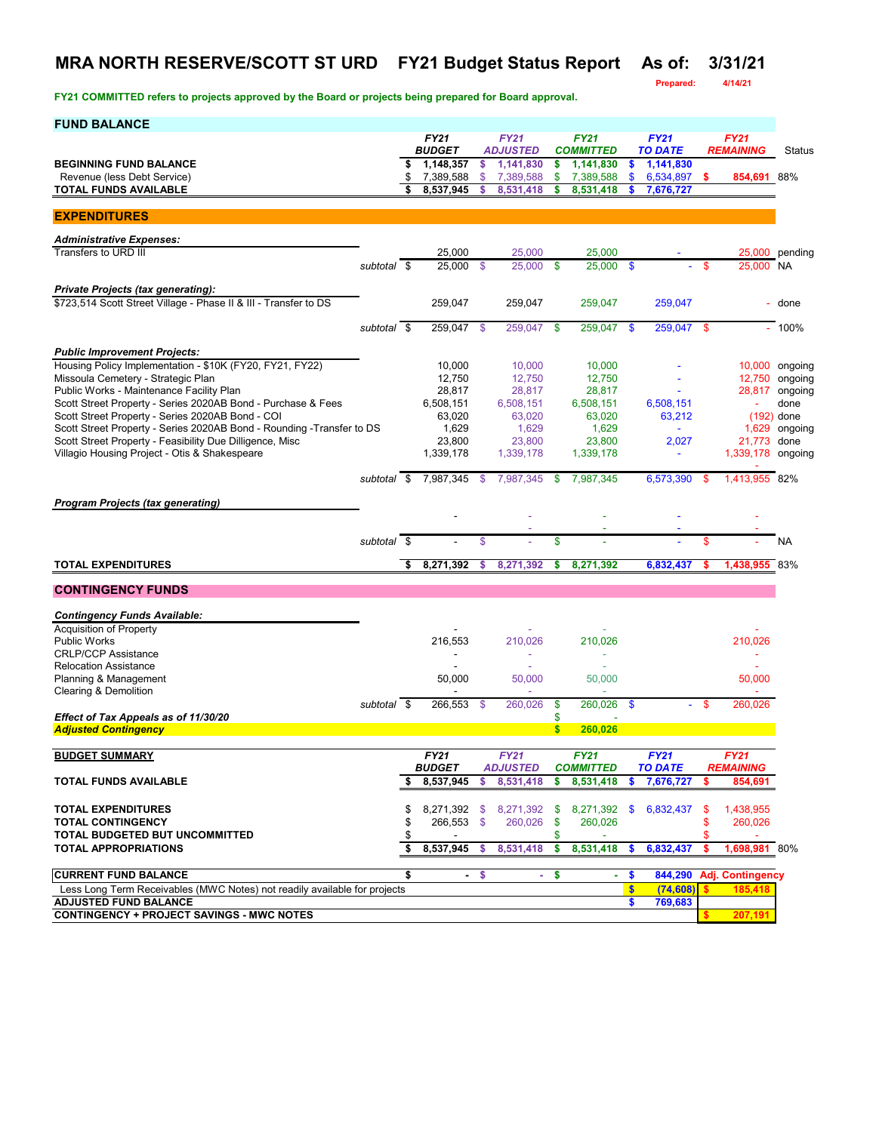### **MRA NORTH RESERVE/SCOTT ST URD FY21 Budget Status Report As of: 3/31/21**

**Prepared: 4/14/21**

| <b>FUND BALANCE</b>                                                                                                        |             |    |                              |      |                                |              |                                 |      |                               |      |                                 |                               |
|----------------------------------------------------------------------------------------------------------------------------|-------------|----|------------------------------|------|--------------------------------|--------------|---------------------------------|------|-------------------------------|------|---------------------------------|-------------------------------|
|                                                                                                                            |             |    | <b>FY21</b><br><b>BUDGET</b> |      | <b>FY21</b><br><b>ADJUSTED</b> |              | <b>FY21</b><br><b>COMMITTED</b> |      | <b>FY21</b><br><b>TO DATE</b> |      | <b>FY21</b><br><b>REMAINING</b> | <b>Status</b>                 |
| <b>BEGINNING FUND BALANCE</b>                                                                                              |             | s  | 1,148,357                    | \$   | 1,141,830                      | \$           | 1,141,830                       | \$   | 1,141,830                     |      |                                 |                               |
| Revenue (less Debt Service)                                                                                                |             |    | 7,389,588                    | \$   | 7,389,588                      | \$           | 7,389,588                       | \$   | 6,534,897                     | -S   | 854,691 88%                     |                               |
| <b>TOTAL FUNDS AVAILABLE</b>                                                                                               |             |    | 8,537,945                    | \$   | 8,531,418                      | \$           | 8,531,418                       | \$   | 7,676,727                     |      |                                 |                               |
| <b>EXPENDITURES</b>                                                                                                        |             |    |                              |      |                                |              |                                 |      |                               |      |                                 |                               |
| <b>Administrative Expenses:</b>                                                                                            |             |    |                              |      |                                |              |                                 |      |                               |      |                                 |                               |
| Transfers to URD III                                                                                                       |             |    | 25,000                       |      | 25.000                         |              | 25,000                          |      |                               |      |                                 | 25,000 pending                |
|                                                                                                                            | subtotal \$ |    | 25,000                       | -\$  | 25,000                         | -\$          | 25,000                          | - \$ |                               | \$   | 25,000 NA                       |                               |
| <b>Private Projects (tax generating):</b>                                                                                  |             |    |                              |      |                                |              |                                 |      |                               |      |                                 |                               |
| \$723,514 Scott Street Village - Phase II & III - Transfer to DS                                                           |             |    | 259,047                      |      | 259,047                        |              | 259,047                         |      | 259,047                       |      |                                 | - done                        |
|                                                                                                                            | subtotal \$ |    | 259,047                      | - \$ | 259,047                        | -\$          | 259,047                         | \$   | 259,047                       | - \$ |                                 | $-100%$                       |
|                                                                                                                            |             |    |                              |      |                                |              |                                 |      |                               |      |                                 |                               |
| <b>Public Improvement Projects:</b>                                                                                        |             |    |                              |      |                                |              |                                 |      |                               |      |                                 |                               |
| Housing Policy Implementation - \$10K (FY20, FY21, FY22)<br>Missoula Cemetery - Strategic Plan                             |             |    | 10,000<br>12,750             |      | 10,000<br>12,750               |              | 10,000<br>12,750                |      |                               |      | 12,750                          | 10,000 ongoing<br>ongoing     |
| Public Works - Maintenance Facility Plan                                                                                   |             |    | 28,817                       |      | 28,817                         |              | 28,817                          |      |                               |      | 28,817                          | ongoing                       |
| Scott Street Property - Series 2020AB Bond - Purchase & Fees                                                               |             |    | 6,508,151                    |      | 6,508,151                      |              | 6,508,151                       |      | 6,508,151                     |      |                                 | done                          |
| Scott Street Property - Series 2020AB Bond - COI<br>Scott Street Property - Series 2020AB Bond - Rounding - Transfer to DS |             |    | 63,020<br>1,629              |      | 63,020<br>1,629                |              | 63,020<br>1,629                 |      | 63,212                        |      |                                 | $(192)$ done<br>1,629 ongoing |
| Scott Street Property - Feasibility Due Dilligence, Misc                                                                   |             |    | 23,800                       |      | 23,800                         |              | 23,800                          |      | 2,027                         |      | 21,773 done                     |                               |
| Villagio Housing Project - Otis & Shakespeare                                                                              |             |    | 1,339,178                    |      | 1,339,178                      |              | 1,339,178                       |      | ÷.                            |      | 1,339,178 ongoing               |                               |
|                                                                                                                            | subtotal \$ |    | 7,987,345                    | -\$  | 7,987,345                      | \$           | 7,987,345                       |      | 6.573.390                     | -\$  | 1,413,955 82%                   |                               |
| <b>Program Projects (tax generating)</b>                                                                                   |             |    |                              |      |                                |              |                                 |      |                               |      |                                 |                               |
|                                                                                                                            |             |    |                              |      |                                |              |                                 |      |                               |      |                                 |                               |
|                                                                                                                            |             |    |                              |      |                                |              |                                 |      |                               |      |                                 |                               |
|                                                                                                                            | subtotal \$ |    |                              | \$   |                                | \$           |                                 |      |                               | \$   |                                 | <b>NA</b>                     |
| <b>TOTAL EXPENDITURES</b>                                                                                                  |             |    | 8,271,392                    | s    | 8,271,392                      | \$           | 8,271,392                       |      | 6,832,437                     |      | 1,438,955 83%                   |                               |
| <b>CONTINGENCY FUNDS</b>                                                                                                   |             |    |                              |      |                                |              |                                 |      |                               |      |                                 |                               |
| <b>Contingency Funds Available:</b>                                                                                        |             |    |                              |      |                                |              |                                 |      |                               |      |                                 |                               |
| <b>Acquisition of Property</b>                                                                                             |             |    |                              |      |                                |              |                                 |      |                               |      |                                 |                               |
| <b>Public Works</b>                                                                                                        |             |    | 216,553                      |      | 210,026                        |              | 210,026                         |      |                               |      | 210,026                         |                               |
| <b>CRLP/CCP Assistance</b><br><b>Relocation Assistance</b>                                                                 |             |    |                              |      |                                |              | ä,                              |      |                               |      |                                 |                               |
| Planning & Management                                                                                                      |             |    | 50,000                       |      | 50,000                         |              | 50,000                          |      |                               |      | 50,000                          |                               |
| Clearing & Demolition                                                                                                      |             |    |                              |      |                                |              |                                 |      |                               |      |                                 |                               |
| Effect of Tax Appeals as of 11/30/20                                                                                       | subtotal \$ |    | 266,553 \$                   |      | 260,026                        | \$<br>\$     | 260,026 \$                      |      |                               | - \$ | 260,026                         |                               |
| <b>Adjusted Contingency</b>                                                                                                |             |    |                              |      |                                | $\mathbf{s}$ | 260,026                         |      |                               |      |                                 |                               |
| <b>BUDGET SUMMARY</b>                                                                                                      |             |    | FY21                         |      | <b>FY21</b>                    |              | <b>FY21</b>                     |      | <b>FY21</b>                   |      | <b>FY21</b>                     |                               |
|                                                                                                                            |             |    | <i><b>BUDGET</b></i>         |      | <b>ADJUSTED</b>                |              | <b>COMMITTED</b>                |      | <b>TO DATE</b>                |      | <b>REMAINING</b>                |                               |
| <b>TOTAL FUNDS AVAILABLE</b>                                                                                               |             | s. | 8,537,945                    | \$   | 8,531,418                      | \$           | 8,531,418                       | \$   | 7,676,727                     | s    | 854,691                         |                               |
| <b>TOTAL EXPENDITURES</b>                                                                                                  |             |    |                              |      | 8,271,392 \$ 8,271,392 \$      |              |                                 |      | 8,271,392 \$ 6,832,437        | \$   | 1,438,955                       |                               |
| <b>TOTAL CONTINGENCY</b>                                                                                                   |             | S  | 266,553 \$                   |      | 260,026                        | \$           | 260,026                         |      |                               | \$   | 260,026                         |                               |
| TOTAL BUDGETED BUT UNCOMMITTED                                                                                             |             | \$ |                              |      |                                | \$           |                                 |      |                               | \$   |                                 |                               |
| <b>TOTAL APPROPRIATIONS</b>                                                                                                |             | \$ | 8,537,945                    | -S   | 8,531,418                      | \$           | 8,531,418                       | \$   | 6,832,437                     | \$   | 1,698,981 80%                   |                               |
| <b>CURRENT FUND BALANCE</b>                                                                                                |             | \$ |                              | - \$ | $\sim$                         | \$           | $\sim$                          | \$   | 844,290                       |      | <b>Adj. Contingency</b>         |                               |
| Less Long Term Receivables (MWC Notes) not readily available for projects                                                  |             |    |                              |      |                                |              |                                 | \$   | (74, 608)                     |      | 185.418                         |                               |
| <b>ADJUSTED FUND BALANCE</b><br><b>CONTINGENCY + PROJECT SAVINGS - MWC NOTES</b>                                           |             |    |                              |      |                                |              |                                 | \$   | 769,683                       |      | 207,191                         |                               |
|                                                                                                                            |             |    |                              |      |                                |              |                                 |      |                               |      |                                 |                               |